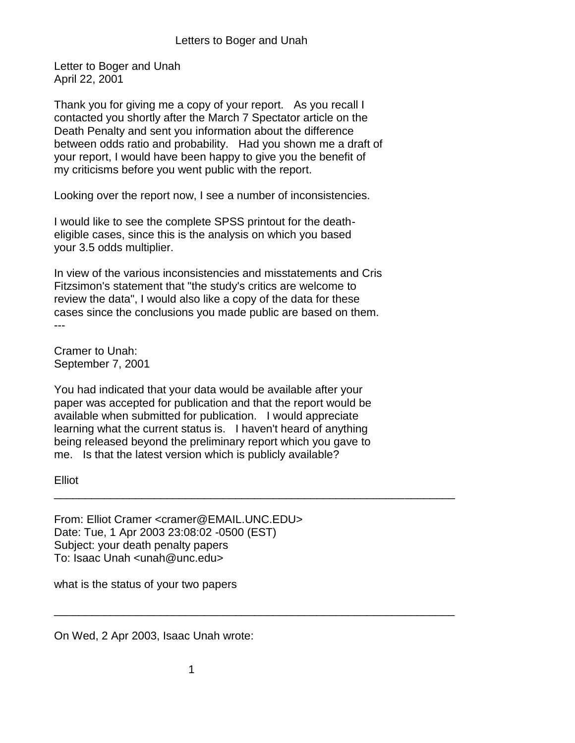Letter to Boger and Unah April 22, 2001

Thank you for giving me a copy of your report. As you recall I contacted you shortly after the March 7 Spectator article on the Death Penalty and sent you information about the difference between odds ratio and probability. Had you shown me a draft of your report, I would have been happy to give you the benefit of my criticisms before you went public with the report.

Looking over the report now, I see a number of inconsistencies.

I would like to see the complete SPSS printout for the deatheligible cases, since this is the analysis on which you based your 3.5 odds multiplier.

In view of the various inconsistencies and misstatements and Cris Fitzsimon's statement that "the study's critics are welcome to review the data", I would also like a copy of the data for these cases since the conclusions you made public are based on them. ---

Cramer to Unah: September 7, 2001

You had indicated that your data would be available after your paper was accepted for publication and that the report would be available when submitted for publication. I would appreciate learning what the current status is. I haven't heard of anything being released beyond the preliminary report which you gave to me. Is that the latest version which is publicly available?

\_\_\_\_\_\_\_\_\_\_\_\_\_\_\_\_\_\_\_\_\_\_\_\_\_\_\_\_\_\_\_\_\_\_\_\_\_\_\_\_\_\_\_\_\_\_\_\_\_\_\_\_\_\_\_\_\_\_\_\_\_\_\_\_

\_\_\_\_\_\_\_\_\_\_\_\_\_\_\_\_\_\_\_\_\_\_\_\_\_\_\_\_\_\_\_\_\_\_\_\_\_\_\_\_\_\_\_\_\_\_\_\_\_\_\_\_\_\_\_\_\_\_\_\_\_\_\_\_

Elliot

From: Elliot Cramer <cramer@EMAIL.UNC.EDU> Date: Tue, 1 Apr 2003 23:08:02 -0500 (EST) Subject: your death penalty papers To: Isaac Unah <unah@unc.edu>

what is the status of your two papers

On Wed, 2 Apr 2003, Isaac Unah wrote: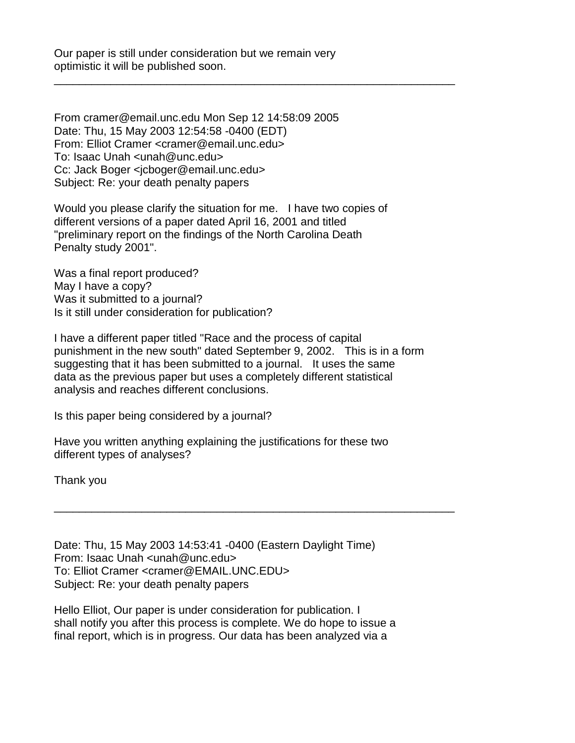Our paper is still under consideration but we remain very optimistic it will be published soon.

\_\_\_\_\_\_\_\_\_\_\_\_\_\_\_\_\_\_\_\_\_\_\_\_\_\_\_\_\_\_\_\_\_\_\_\_\_\_\_\_\_\_\_\_\_\_\_\_\_\_\_\_\_\_\_\_\_\_\_\_\_\_\_\_

From cramer@email.unc.edu Mon Sep 12 14:58:09 2005 Date: Thu, 15 May 2003 12:54:58 -0400 (EDT) From: Elliot Cramer <cramer@email.unc.edu> To: Isaac Unah <unah@unc.edu> Cc: Jack Boger <jcboger@email.unc.edu> Subject: Re: your death penalty papers

Would you please clarify the situation for me. I have two copies of different versions of a paper dated April 16, 2001 and titled "preliminary report on the findings of the North Carolina Death Penalty study 2001".

Was a final report produced? May I have a copy? Was it submitted to a journal? Is it still under consideration for publication?

I have a different paper titled "Race and the process of capital punishment in the new south" dated September 9, 2002. This is in a form suggesting that it has been submitted to a journal. It uses the same data as the previous paper but uses a completely different statistical analysis and reaches different conclusions.

\_\_\_\_\_\_\_\_\_\_\_\_\_\_\_\_\_\_\_\_\_\_\_\_\_\_\_\_\_\_\_\_\_\_\_\_\_\_\_\_\_\_\_\_\_\_\_\_\_\_\_\_\_\_\_\_\_\_\_\_\_\_\_\_

Is this paper being considered by a journal?

Have you written anything explaining the justifications for these two different types of analyses?

Thank you

Date: Thu, 15 May 2003 14:53:41 -0400 (Eastern Daylight Time) From: Isaac Unah <unah@unc.edu> To: Elliot Cramer <cramer@EMAIL.UNC.EDU> Subject: Re: your death penalty papers

Hello Elliot, Our paper is under consideration for publication. I shall notify you after this process is complete. We do hope to issue a final report, which is in progress. Our data has been analyzed via a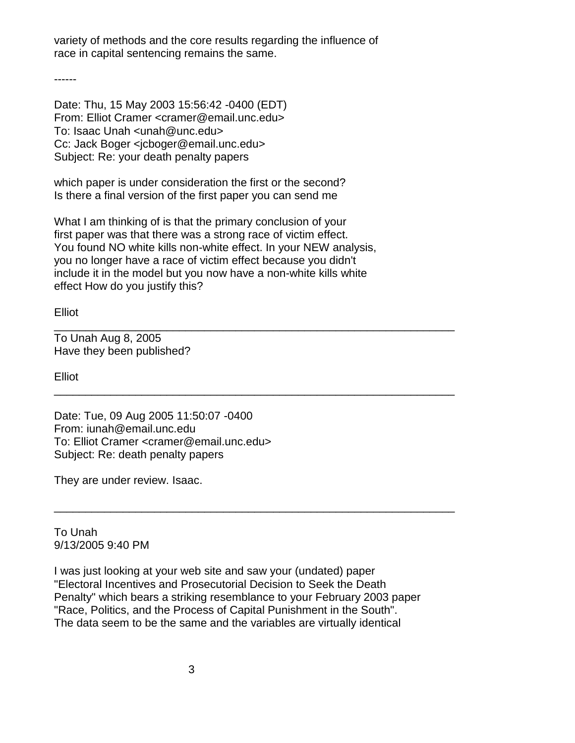variety of methods and the core results regarding the influence of race in capital sentencing remains the same.

------

Date: Thu, 15 May 2003 15:56:42 -0400 (EDT) From: Elliot Cramer <cramer@email.unc.edu> To: Isaac Unah <unah@unc.edu> Cc: Jack Boger <jcboger@email.unc.edu> Subject: Re: your death penalty papers

which paper is under consideration the first or the second? Is there a final version of the first paper you can send me

What I am thinking of is that the primary conclusion of your first paper was that there was a strong race of victim effect. You found NO white kills non-white effect. In your NEW analysis, you no longer have a race of victim effect because you didn't include it in the model but you now have a non-white kills white effect How do you justify this?

\_\_\_\_\_\_\_\_\_\_\_\_\_\_\_\_\_\_\_\_\_\_\_\_\_\_\_\_\_\_\_\_\_\_\_\_\_\_\_\_\_\_\_\_\_\_\_\_\_\_\_\_\_\_\_\_\_\_\_\_\_\_\_\_

\_\_\_\_\_\_\_\_\_\_\_\_\_\_\_\_\_\_\_\_\_\_\_\_\_\_\_\_\_\_\_\_\_\_\_\_\_\_\_\_\_\_\_\_\_\_\_\_\_\_\_\_\_\_\_\_\_\_\_\_\_\_\_\_

\_\_\_\_\_\_\_\_\_\_\_\_\_\_\_\_\_\_\_\_\_\_\_\_\_\_\_\_\_\_\_\_\_\_\_\_\_\_\_\_\_\_\_\_\_\_\_\_\_\_\_\_\_\_\_\_\_\_\_\_\_\_\_\_

**Elliot** 

To Unah Aug 8, 2005 Have they been published?

Elliot

Date: Tue, 09 Aug 2005 11:50:07 -0400 From: iunah@email.unc.edu To: Elliot Cramer <cramer@email.unc.edu> Subject: Re: death penalty papers

They are under review. Isaac.

To Unah 9/13/2005 9:40 PM

I was just looking at your web site and saw your (undated) paper "Electoral Incentives and Prosecutorial Decision to Seek the Death Penalty" which bears a striking resemblance to your February 2003 paper "Race, Politics, and the Process of Capital Punishment in the South". The data seem to be the same and the variables are virtually identical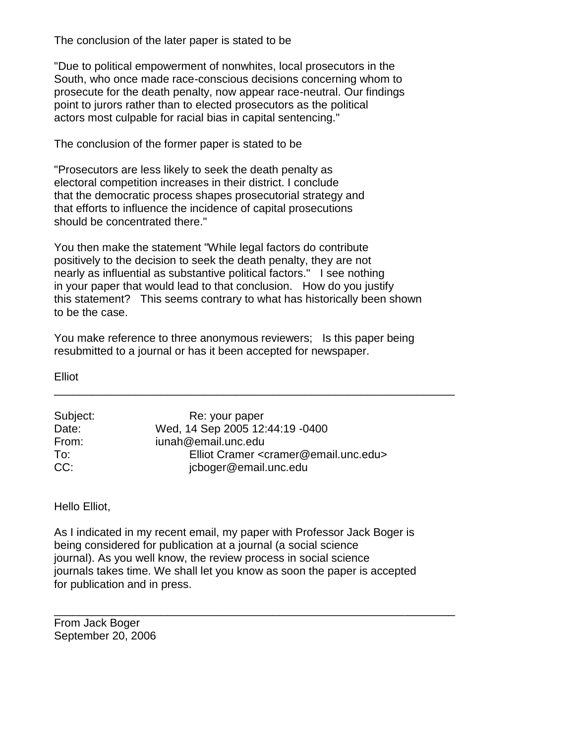The conclusion of the later paper is stated to be

"Due to political empowerment of nonwhites, local prosecutors in the South, who once made race-conscious decisions concerning whom to prosecute for the death penalty, now appear race-neutral. Our findings point to jurors rather than to elected prosecutors as the political actors most culpable for racial bias in capital sentencing."

The conclusion of the former paper is stated to be

"Prosecutors are less likely to seek the death penalty as electoral competition increases in their district. I conclude that the democratic process shapes prosecutorial strategy and that efforts to influence the incidence of capital prosecutions should be concentrated there."

You then make the statement "While legal factors do contribute positively to the decision to seek the death penalty, they are not nearly as influential as substantive political factors." I see nothing in your paper that would lead to that conclusion. How do you justify this statement? This seems contrary to what has historically been shown to be the case.

You make reference to three anonymous reviewers; Is this paper being resubmitted to a journal or has it been accepted for newspaper.

\_\_\_\_\_\_\_\_\_\_\_\_\_\_\_\_\_\_\_\_\_\_\_\_\_\_\_\_\_\_\_\_\_\_\_\_\_\_\_\_\_\_\_\_\_\_\_\_\_\_\_\_\_\_\_\_\_\_\_\_\_\_\_\_

Elliot

| Subject: | Re: your paper                                              |
|----------|-------------------------------------------------------------|
| Date:    | Wed, 14 Sep 2005 12:44:19 -0400                             |
| From:    | iunah@email.unc.edu                                         |
| To:      | Elliot Cramer <cramer@email.unc.edu></cramer@email.unc.edu> |
| CC:      | jcboger@email.unc.edu                                       |

Hello Elliot,

As I indicated in my recent email, my paper with Professor Jack Boger is being considered for publication at a journal (a social science journal). As you well know, the review process in social science journals takes time. We shall let you know as soon the paper is accepted for publication and in press.

\_\_\_\_\_\_\_\_\_\_\_\_\_\_\_\_\_\_\_\_\_\_\_\_\_\_\_\_\_\_\_\_\_\_\_\_\_\_\_\_\_\_\_\_\_\_\_\_\_\_\_\_\_\_\_\_\_\_\_\_\_\_\_\_

From Jack Boger September 20, 2006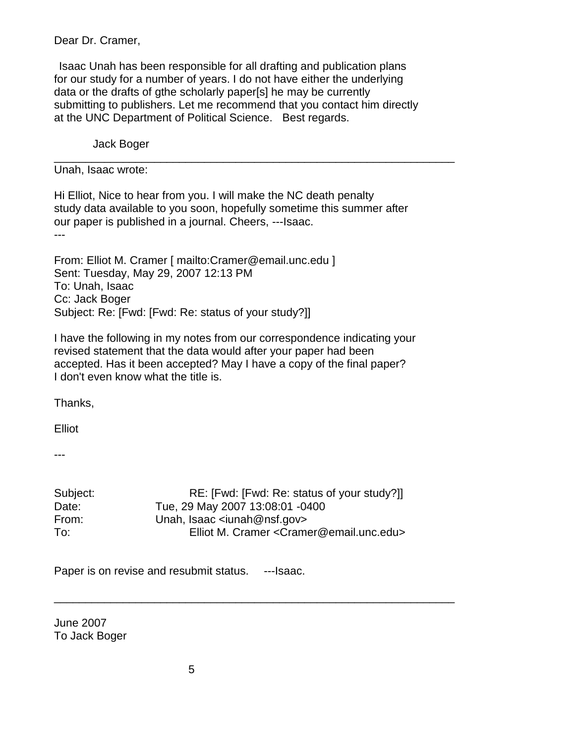Dear Dr. Cramer,

Isaac Unah has been responsible for all drafting and publication plans for our study for a number of years. I do not have either the underlying data or the drafts of gthe scholarly paper[s] he may be currently submitting to publishers. Let me recommend that you contact him directly at the UNC Department of Political Science. Best regards.

\_\_\_\_\_\_\_\_\_\_\_\_\_\_\_\_\_\_\_\_\_\_\_\_\_\_\_\_\_\_\_\_\_\_\_\_\_\_\_\_\_\_\_\_\_\_\_\_\_\_\_\_\_\_\_\_\_\_\_\_\_\_\_\_

Jack Boger

Unah, Isaac wrote:

Hi Elliot, Nice to hear from you. I will make the NC death penalty study data available to you soon, hopefully sometime this summer after our paper is published in a journal. Cheers, ---Isaac. ---

From: Elliot M. Cramer [ mailto:Cramer@email.unc.edu ] Sent: Tuesday, May 29, 2007 12:13 PM To: Unah, Isaac Cc: Jack Boger Subject: Re: [Fwd: [Fwd: Re: status of your study?]]

I have the following in my notes from our correspondence indicating your revised statement that the data would after your paper had been accepted. Has it been accepted? May I have a copy of the final paper? I don't even know what the title is.

Thanks,

Elliot

---

| Subject: | RE: [Fwd: [Fwd: Re: status of your study?]]                    |
|----------|----------------------------------------------------------------|
| Date:    | Tue, 29 May 2007 13:08:01 -0400                                |
| From:    | Unah, Isaac $\le$ iunah@nsf.gov>                               |
| To:      | Elliot M. Cramer <cramer@email.unc.edu></cramer@email.unc.edu> |

\_\_\_\_\_\_\_\_\_\_\_\_\_\_\_\_\_\_\_\_\_\_\_\_\_\_\_\_\_\_\_\_\_\_\_\_\_\_\_\_\_\_\_\_\_\_\_\_\_\_\_\_\_\_\_\_\_\_\_\_\_\_\_\_

Paper is on revise and resubmit status. ---Isaac.

June 2007 To Jack Boger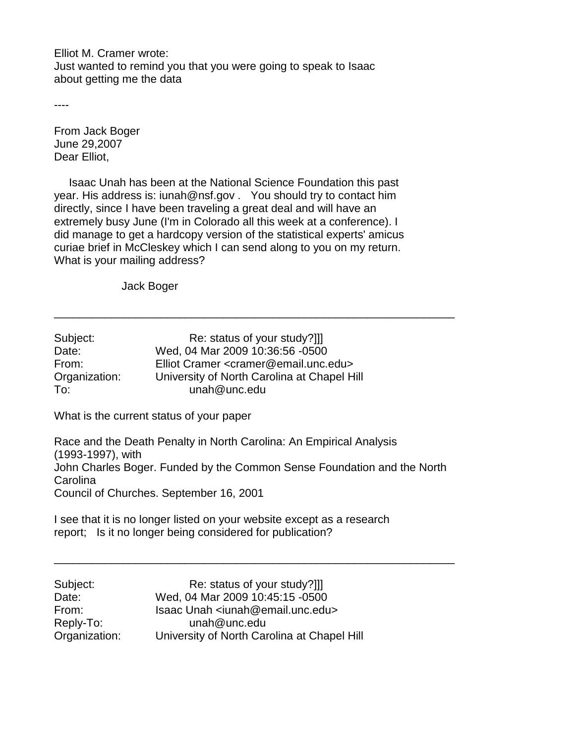Elliot M. Cramer wrote: Just wanted to remind you that you were going to speak to Isaac about getting me the data

----

From Jack Boger June 29,2007 Dear Elliot,

 Isaac Unah has been at the National Science Foundation this past year. His address is: iunah@nsf.gov . You should try to contact him directly, since I have been traveling a great deal and will have an extremely busy June (I'm in Colorado all this week at a conference). I did manage to get a hardcopy version of the statistical experts' amicus curiae brief in McCleskey which I can send along to you on my return. What is your mailing address?

Jack Boger

| Subject:      | Re: status of your study?]]                                 |
|---------------|-------------------------------------------------------------|
| Date:         | Wed, 04 Mar 2009 10:36:56 -0500                             |
| From:         | Elliot Cramer <cramer@email.unc.edu></cramer@email.unc.edu> |
| Organization: | University of North Carolina at Chapel Hill                 |
| To:           | unah@unc.edu                                                |

What is the current status of your paper

Race and the Death Penalty in North Carolina: An Empirical Analysis (1993-1997), with John Charles Boger. Funded by the Common Sense Foundation and the North Carolina Council of Churches. September 16, 2001

\_\_\_\_\_\_\_\_\_\_\_\_\_\_\_\_\_\_\_\_\_\_\_\_\_\_\_\_\_\_\_\_\_\_\_\_\_\_\_\_\_\_\_\_\_\_\_\_\_\_\_\_\_\_\_\_\_\_\_\_\_\_\_\_

\_\_\_\_\_\_\_\_\_\_\_\_\_\_\_\_\_\_\_\_\_\_\_\_\_\_\_\_\_\_\_\_\_\_\_\_\_\_\_\_\_\_\_\_\_\_\_\_\_\_\_\_\_\_\_\_\_\_\_\_\_\_\_\_

I see that it is no longer listed on your website except as a research report; Is it no longer being considered for publication?

| Subject:      | Re: status of your study?]]                            |
|---------------|--------------------------------------------------------|
| Date:         | Wed, 04 Mar 2009 10:45:15 -0500                        |
| From:         | Isaac Unah <iunah@email.unc.edu></iunah@email.unc.edu> |
| Reply-To:     | $unah@$ unc.edu                                        |
| Organization: | University of North Carolina at Chapel Hill            |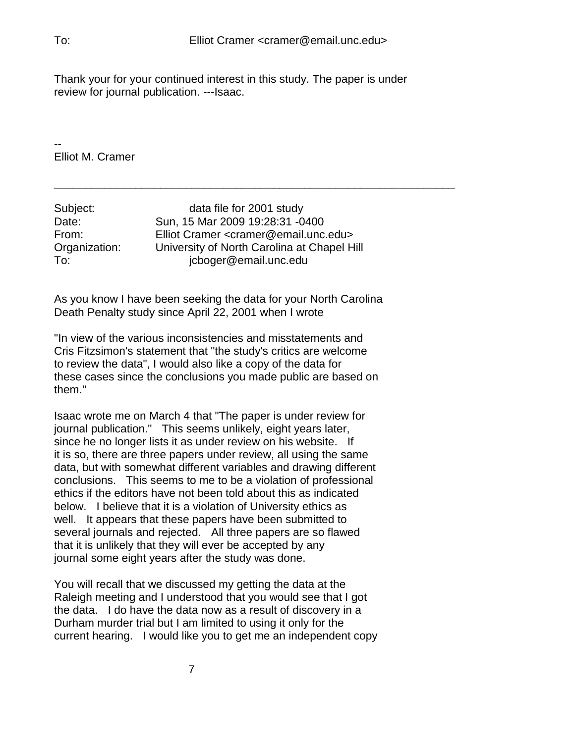Thank your for your continued interest in this study. The paper is under review for journal publication. ---Isaac.

\_\_\_\_\_\_\_\_\_\_\_\_\_\_\_\_\_\_\_\_\_\_\_\_\_\_\_\_\_\_\_\_\_\_\_\_\_\_\_\_\_\_\_\_\_\_\_\_\_\_\_\_\_\_\_\_\_\_\_\_\_\_\_\_

-- Elliot M. Cramer

| Elliot Cramer <cramer@email.unc.edu></cramer@email.unc.edu> |
|-------------------------------------------------------------|
| University of North Carolina at Chapel Hill                 |
|                                                             |
|                                                             |

As you know I have been seeking the data for your North Carolina Death Penalty study since April 22, 2001 when I wrote

"In view of the various inconsistencies and misstatements and Cris Fitzsimon's statement that "the study's critics are welcome to review the data", I would also like a copy of the data for these cases since the conclusions you made public are based on them."

Isaac wrote me on March 4 that "The paper is under review for journal publication." This seems unlikely, eight years later, since he no longer lists it as under review on his website. If it is so, there are three papers under review, all using the same data, but with somewhat different variables and drawing different conclusions. This seems to me to be a violation of professional ethics if the editors have not been told about this as indicated below. I believe that it is a violation of University ethics as well. It appears that these papers have been submitted to several journals and rejected. All three papers are so flawed that it is unlikely that they will ever be accepted by any journal some eight years after the study was done.

You will recall that we discussed my getting the data at the Raleigh meeting and I understood that you would see that I got the data. I do have the data now as a result of discovery in a Durham murder trial but I am limited to using it only for the current hearing. I would like you to get me an independent copy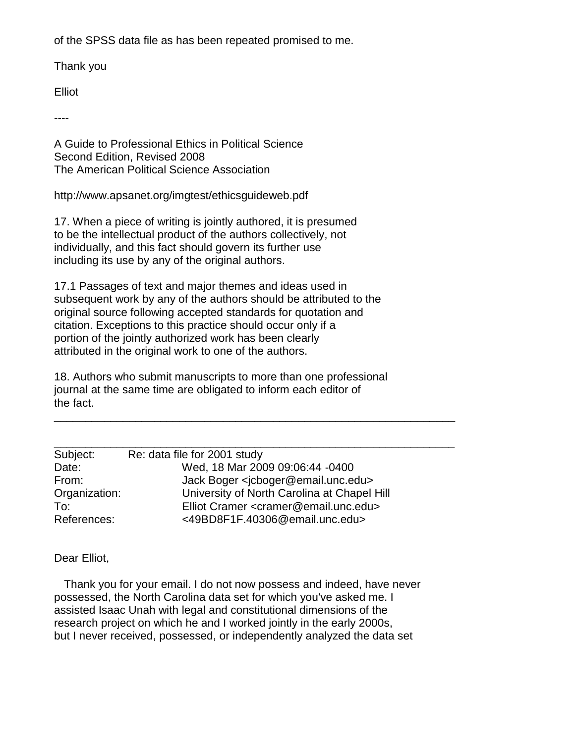of the SPSS data file as has been repeated promised to me.

Thank you

Elliot

----

A Guide to Professional Ethics in Political Science Second Edition, Revised 2008 The American Political Science Association

http://www.apsanet.org/imgtest/ethicsguideweb.pdf

17. When a piece of writing is jointly authored, it is presumed to be the intellectual product of the authors collectively, not individually, and this fact should govern its further use including its use by any of the original authors.

17.1 Passages of text and major themes and ideas used in subsequent work by any of the authors should be attributed to the original source following accepted standards for quotation and citation. Exceptions to this practice should occur only if a portion of the jointly authorized work has been clearly attributed in the original work to one of the authors.

18. Authors who submit manuscripts to more than one professional journal at the same time are obligated to inform each editor of the fact.

| Re: data file for 2001 study                                |  |
|-------------------------------------------------------------|--|
| Wed, 18 Mar 2009 09:06:44 -0400                             |  |
| Jack Boger <jcboger@email.unc.edu></jcboger@email.unc.edu>  |  |
| University of North Carolina at Chapel Hill                 |  |
| Elliot Cramer <cramer@email.unc.edu></cramer@email.unc.edu> |  |
| <49BD8F1F.40306@email.unc.edu>                              |  |
|                                                             |  |

\_\_\_\_\_\_\_\_\_\_\_\_\_\_\_\_\_\_\_\_\_\_\_\_\_\_\_\_\_\_\_\_\_\_\_\_\_\_\_\_\_\_\_\_\_\_\_\_\_\_\_\_\_\_\_\_\_\_\_\_\_\_\_\_

Dear Elliot,

 Thank you for your email. I do not now possess and indeed, have never possessed, the North Carolina data set for which you've asked me. I assisted Isaac Unah with legal and constitutional dimensions of the research project on which he and I worked jointly in the early 2000s, but I never received, possessed, or independently analyzed the data set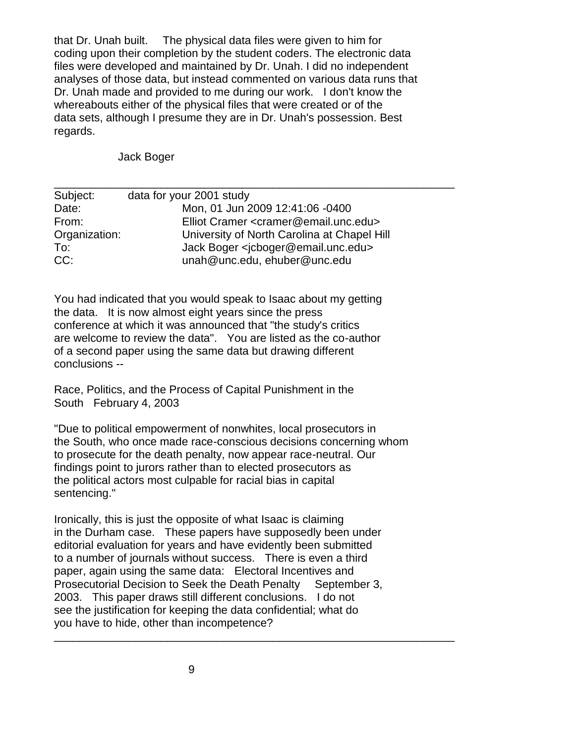that Dr. Unah built. The physical data files were given to him for coding upon their completion by the student coders. The electronic data files were developed and maintained by Dr. Unah. I did no independent analyses of those data, but instead commented on various data runs that Dr. Unah made and provided to me during our work. I don't know the whereabouts either of the physical files that were created or of the data sets, although I presume they are in Dr. Unah's possession. Best regards.

Jack Boger

| Subject:      | data for your 2001 study                                    |
|---------------|-------------------------------------------------------------|
| Date:         | Mon, 01 Jun 2009 12:41:06 -0400                             |
| From:         | Elliot Cramer <cramer@email.unc.edu></cramer@email.unc.edu> |
| Organization: | University of North Carolina at Chapel Hill                 |
| To:           | Jack Boger <jcboger@email.unc.edu></jcboger@email.unc.edu>  |
| CC:           | unah@unc.edu, ehuber@unc.edu                                |

\_\_\_\_\_\_\_\_\_\_\_\_\_\_\_\_\_\_\_\_\_\_\_\_\_\_\_\_\_\_\_\_\_\_\_\_\_\_\_\_\_\_\_\_\_\_\_\_\_\_\_\_\_\_\_\_\_\_\_\_\_\_\_\_

You had indicated that you would speak to Isaac about my getting the data. It is now almost eight years since the press conference at which it was announced that "the study's critics are welcome to review the data". You are listed as the co-author of a second paper using the same data but drawing different conclusions --

Race, Politics, and the Process of Capital Punishment in the South February 4, 2003

"Due to political empowerment of nonwhites, local prosecutors in the South, who once made race-conscious decisions concerning whom to prosecute for the death penalty, now appear race-neutral. Our findings point to jurors rather than to elected prosecutors as the political actors most culpable for racial bias in capital sentencing."

Ironically, this is just the opposite of what Isaac is claiming in the Durham case. These papers have supposedly been under editorial evaluation for years and have evidently been submitted to a number of journals without success. There is even a third paper, again using the same data: Electoral Incentives and Prosecutorial Decision to Seek the Death Penalty September 3, 2003. This paper draws still different conclusions. I do not see the justification for keeping the data confidential; what do you have to hide, other than incompetence?

\_\_\_\_\_\_\_\_\_\_\_\_\_\_\_\_\_\_\_\_\_\_\_\_\_\_\_\_\_\_\_\_\_\_\_\_\_\_\_\_\_\_\_\_\_\_\_\_\_\_\_\_\_\_\_\_\_\_\_\_\_\_\_\_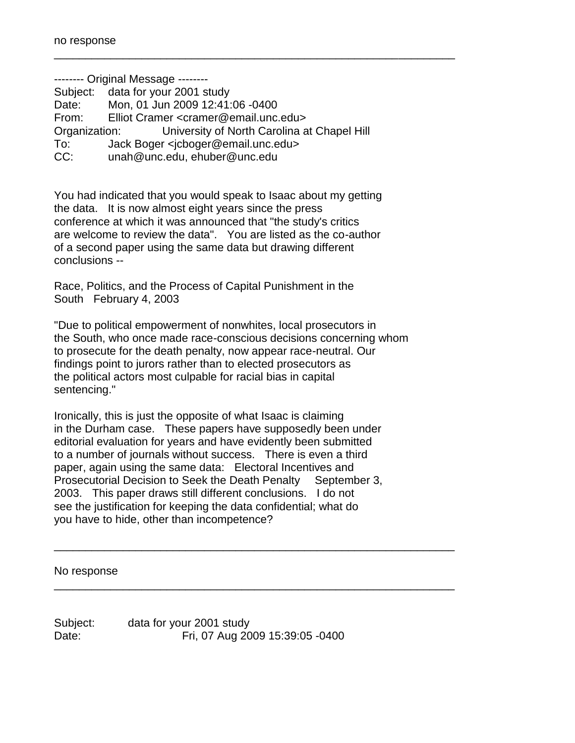-------- Original Message -------- Subject: data for your 2001 study Date: Mon, 01 Jun 2009 12:41:06 -0400 From: Elliot Cramer <cramer@email.unc.edu> Organization: University of North Carolina at Chapel Hill To: Jack Boger <jcboger@email.unc.edu> CC: unah@unc.edu, ehuber@unc.edu

\_\_\_\_\_\_\_\_\_\_\_\_\_\_\_\_\_\_\_\_\_\_\_\_\_\_\_\_\_\_\_\_\_\_\_\_\_\_\_\_\_\_\_\_\_\_\_\_\_\_\_\_\_\_\_\_\_\_\_\_\_\_\_\_

You had indicated that you would speak to Isaac about my getting the data. It is now almost eight years since the press conference at which it was announced that "the study's critics are welcome to review the data". You are listed as the co-author of a second paper using the same data but drawing different conclusions --

Race, Politics, and the Process of Capital Punishment in the South February 4, 2003

"Due to political empowerment of nonwhites, local prosecutors in the South, who once made race-conscious decisions concerning whom to prosecute for the death penalty, now appear race-neutral. Our findings point to jurors rather than to elected prosecutors as the political actors most culpable for racial bias in capital sentencing."

Ironically, this is just the opposite of what Isaac is claiming in the Durham case. These papers have supposedly been under editorial evaluation for years and have evidently been submitted to a number of journals without success. There is even a third paper, again using the same data: Electoral Incentives and Prosecutorial Decision to Seek the Death Penalty September 3, 2003. This paper draws still different conclusions. I do not see the justification for keeping the data confidential; what do you have to hide, other than incompetence?

\_\_\_\_\_\_\_\_\_\_\_\_\_\_\_\_\_\_\_\_\_\_\_\_\_\_\_\_\_\_\_\_\_\_\_\_\_\_\_\_\_\_\_\_\_\_\_\_\_\_\_\_\_\_\_\_\_\_\_\_\_\_\_\_

\_\_\_\_\_\_\_\_\_\_\_\_\_\_\_\_\_\_\_\_\_\_\_\_\_\_\_\_\_\_\_\_\_\_\_\_\_\_\_\_\_\_\_\_\_\_\_\_\_\_\_\_\_\_\_\_\_\_\_\_\_\_\_\_

No response

Subject: data for your 2001 study Date: Fri, 07 Aug 2009 15:39:05 -0400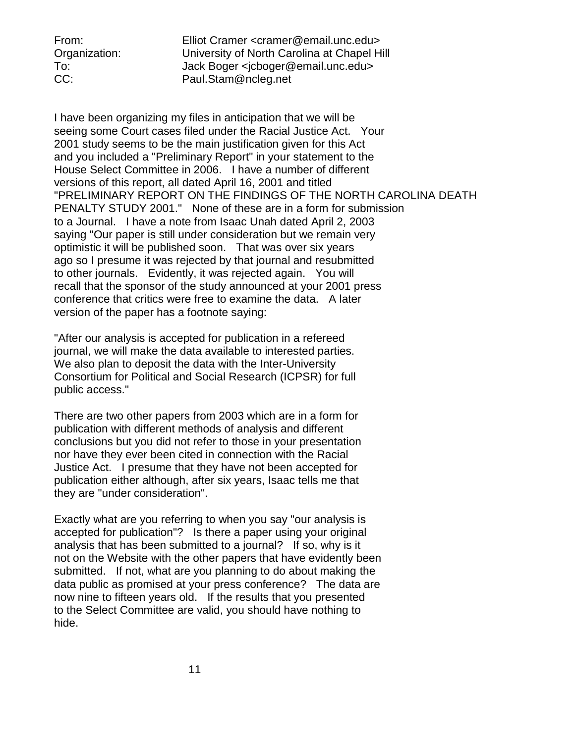From: Elliot Cramer <cramer@email.unc.edu> Organization: University of North Carolina at Chapel Hill To: Jack Boger <jcboger@email.unc.edu> CC: Paul.Stam@ncleg.net

I have been organizing my files in anticipation that we will be seeing some Court cases filed under the Racial Justice Act. Your 2001 study seems to be the main justification given for this Act and you included a "Preliminary Report" in your statement to the House Select Committee in 2006. I have a number of different versions of this report, all dated April 16, 2001 and titled "PRELIMINARY REPORT ON THE FINDINGS OF THE NORTH CAROLINA DEATH PENALTY STUDY 2001." None of these are in a form for submission to a Journal. I have a note from Isaac Unah dated April 2, 2003 saying "Our paper is still under consideration but we remain very optimistic it will be published soon. That was over six years ago so I presume it was rejected by that journal and resubmitted to other journals. Evidently, it was rejected again. You will recall that the sponsor of the study announced at your 2001 press conference that critics were free to examine the data. A later version of the paper has a footnote saying:

"After our analysis is accepted for publication in a refereed journal, we will make the data available to interested parties. We also plan to deposit the data with the Inter-University Consortium for Political and Social Research (ICPSR) for full public access."

There are two other papers from 2003 which are in a form for publication with different methods of analysis and different conclusions but you did not refer to those in your presentation nor have they ever been cited in connection with the Racial Justice Act. I presume that they have not been accepted for publication either although, after six years, Isaac tells me that they are "under consideration".

Exactly what are you referring to when you say "our analysis is accepted for publication"? Is there a paper using your original analysis that has been submitted to a journal? If so, why is it not on the Website with the other papers that have evidently been submitted. If not, what are you planning to do about making the data public as promised at your press conference? The data are now nine to fifteen years old. If the results that you presented to the Select Committee are valid, you should have nothing to hide.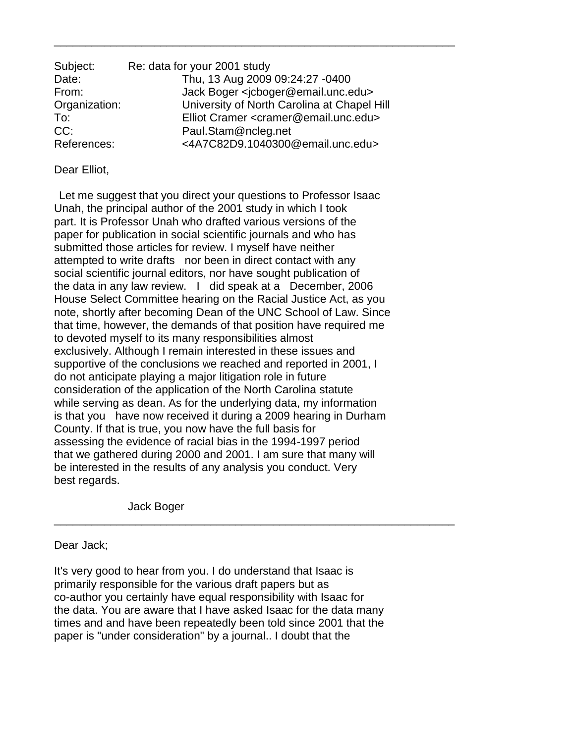| Subject:      | Re: data for your 2001 study                                |
|---------------|-------------------------------------------------------------|
| Date:         | Thu, 13 Aug 2009 09:24:27 -0400                             |
| From:         | Jack Boger <jcboger@email.unc.edu></jcboger@email.unc.edu>  |
| Organization: | University of North Carolina at Chapel Hill                 |
| To:           | Elliot Cramer <cramer@email.unc.edu></cramer@email.unc.edu> |
| CC:           | Paul.Stam@ncleg.net                                         |
| References:   | <4A7C82D9.1040300@email.unc.edu>                            |

\_\_\_\_\_\_\_\_\_\_\_\_\_\_\_\_\_\_\_\_\_\_\_\_\_\_\_\_\_\_\_\_\_\_\_\_\_\_\_\_\_\_\_\_\_\_\_\_\_\_\_\_\_\_\_\_\_\_\_\_\_\_\_\_

## Dear Elliot,

Let me suggest that you direct your questions to Professor Isaac Unah, the principal author of the 2001 study in which I took part. It is Professor Unah who drafted various versions of the paper for publication in social scientific journals and who has submitted those articles for review. I myself have neither attempted to write drafts nor been in direct contact with any social scientific journal editors, nor have sought publication of the data in any law review. I did speak at a December, 2006 House Select Committee hearing on the Racial Justice Act, as you note, shortly after becoming Dean of the UNC School of Law. Since that time, however, the demands of that position have required me to devoted myself to its many responsibilities almost exclusively. Although I remain interested in these issues and supportive of the conclusions we reached and reported in 2001, I do not anticipate playing a major litigation role in future consideration of the application of the North Carolina statute while serving as dean. As for the underlying data, my information is that you have now received it during a 2009 hearing in Durham County. If that is true, you now have the full basis for assessing the evidence of racial bias in the 1994-1997 period that we gathered during 2000 and 2001. I am sure that many will be interested in the results of any analysis you conduct. Very best regards.

Jack Boger

Dear Jack;

It's very good to hear from you. I do understand that Isaac is primarily responsible for the various draft papers but as co-author you certainly have equal responsibility with Isaac for the data. You are aware that I have asked Isaac for the data many times and and have been repeatedly been told since 2001 that the paper is "under consideration" by a journal.. I doubt that the

\_\_\_\_\_\_\_\_\_\_\_\_\_\_\_\_\_\_\_\_\_\_\_\_\_\_\_\_\_\_\_\_\_\_\_\_\_\_\_\_\_\_\_\_\_\_\_\_\_\_\_\_\_\_\_\_\_\_\_\_\_\_\_\_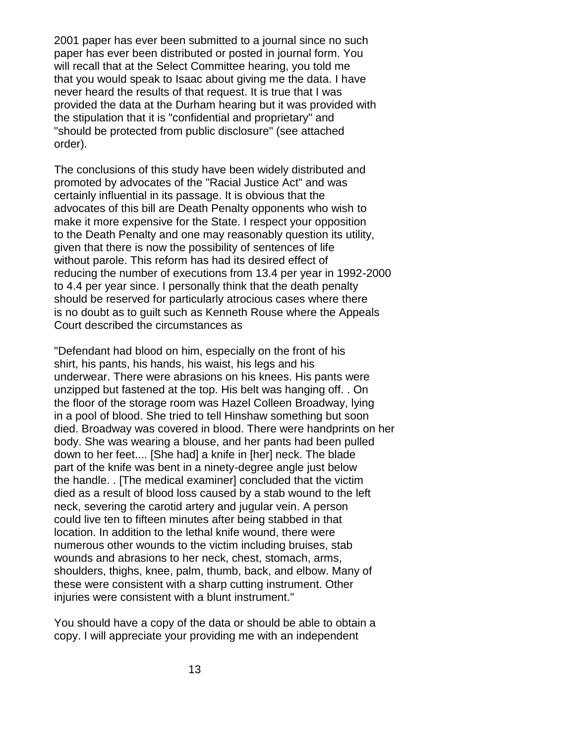2001 paper has ever been submitted to a journal since no such paper has ever been distributed or posted in journal form. You will recall that at the Select Committee hearing, you told me that you would speak to Isaac about giving me the data. I have never heard the results of that request. It is true that I was provided the data at the Durham hearing but it was provided with the stipulation that it is "confidential and proprietary" and "should be protected from public disclosure" (see attached order).

The conclusions of this study have been widely distributed and promoted by advocates of the "Racial Justice Act" and was certainly influential in its passage. It is obvious that the advocates of this bill are Death Penalty opponents who wish to make it more expensive for the State. I respect your opposition to the Death Penalty and one may reasonably question its utility, given that there is now the possibility of sentences of life without parole. This reform has had its desired effect of reducing the number of executions from 13.4 per year in 1992-2000 to 4.4 per year since. I personally think that the death penalty should be reserved for particularly atrocious cases where there is no doubt as to guilt such as Kenneth Rouse where the Appeals Court described the circumstances as

"Defendant had blood on him, especially on the front of his shirt, his pants, his hands, his waist, his legs and his underwear. There were abrasions on his knees. His pants were unzipped but fastened at the top. His belt was hanging off. . On the floor of the storage room was Hazel Colleen Broadway, lying in a pool of blood. She tried to tell Hinshaw something but soon died. Broadway was covered in blood. There were handprints on her body. She was wearing a blouse, and her pants had been pulled down to her feet.... [She had] a knife in [her] neck. The blade part of the knife was bent in a ninety-degree angle just below the handle. . [The medical examiner] concluded that the victim died as a result of blood loss caused by a stab wound to the left neck, severing the carotid artery and jugular vein. A person could live ten to fifteen minutes after being stabbed in that location. In addition to the lethal knife wound, there were numerous other wounds to the victim including bruises, stab wounds and abrasions to her neck, chest, stomach, arms, shoulders, thighs, knee, palm, thumb, back, and elbow. Many of these were consistent with a sharp cutting instrument. Other injuries were consistent with a blunt instrument."

You should have a copy of the data or should be able to obtain a copy. I will appreciate your providing me with an independent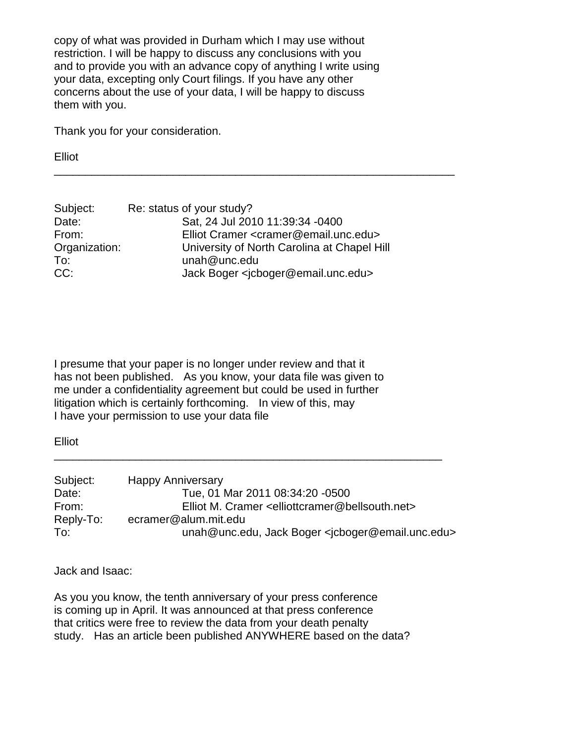copy of what was provided in Durham which I may use without restriction. I will be happy to discuss any conclusions with you and to provide you with an advance copy of anything I write using your data, excepting only Court filings. If you have any other concerns about the use of your data, I will be happy to discuss them with you.

Thank you for your consideration.

Elliot

| Subject:      | Re: status of your study?                                   |
|---------------|-------------------------------------------------------------|
| Date:         | Sat, 24 Jul 2010 11:39:34 -0400                             |
| From:         | Elliot Cramer <cramer@email.unc.edu></cramer@email.unc.edu> |
| Organization: | University of North Carolina at Chapel Hill                 |
| To:           | unah@unc.edu                                                |
| CC:           | Jack Boger <icboger@email.unc.edu></icboger@email.unc.edu>  |

\_\_\_\_\_\_\_\_\_\_\_\_\_\_\_\_\_\_\_\_\_\_\_\_\_\_\_\_\_\_\_\_\_\_\_\_\_\_\_\_\_\_\_\_\_\_\_\_\_\_\_\_\_\_\_\_\_\_\_\_\_\_\_\_

I presume that your paper is no longer under review and that it has not been published. As you know, your data file was given to me under a confidentiality agreement but could be used in further litigation which is certainly forthcoming. In view of this, may I have your permission to use your data file

Elliot

| Subject:  | <b>Happy Anniversary</b>                                                     |
|-----------|------------------------------------------------------------------------------|
| Date:     | Tue, 01 Mar 2011 08:34:20 -0500                                              |
| From:     | Elliot M. Cramer <elliottcramer@bellsouth.net></elliottcramer@bellsouth.net> |
| Reply-To: | ecramer@alum.mit.edu                                                         |
| To:       | unah@unc.edu, Jack Boger <jcboger@email.unc.edu></jcboger@email.unc.edu>     |

\_\_\_\_\_\_\_\_\_\_\_\_\_\_\_\_\_\_\_\_\_\_\_\_\_\_\_\_\_\_\_\_\_\_\_\_\_\_\_\_\_\_\_\_\_\_\_\_\_\_\_\_\_\_\_\_\_\_\_\_\_\_

Jack and Isaac:

As you you know, the tenth anniversary of your press conference is coming up in April. It was announced at that press conference that critics were free to review the data from your death penalty study. Has an article been published ANYWHERE based on the data?